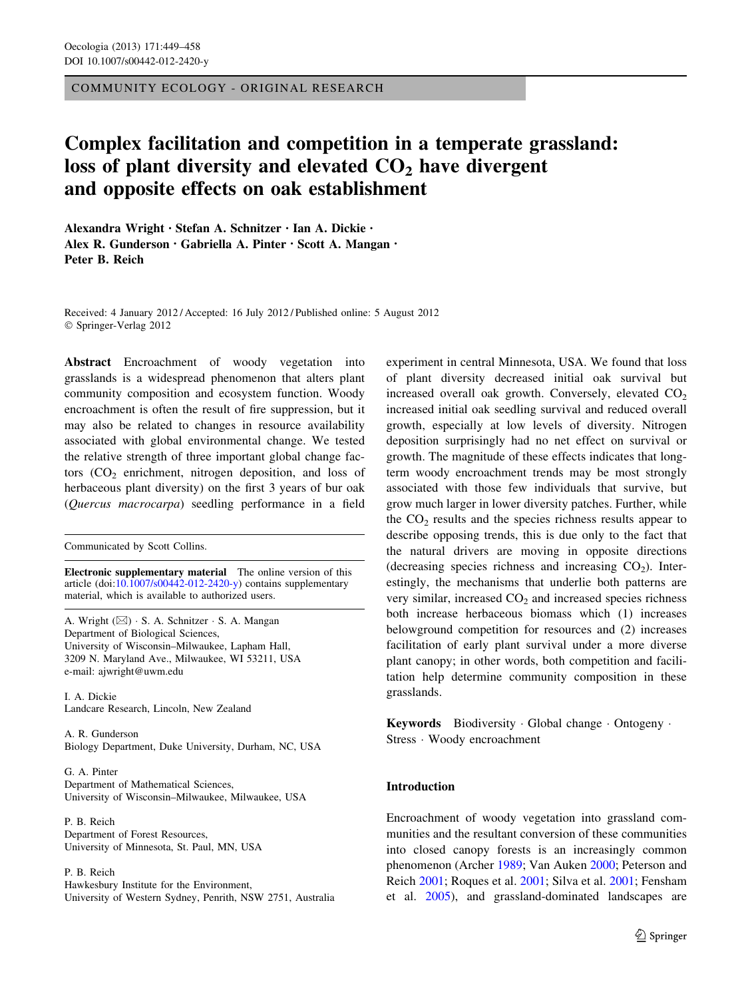COMMUNITY ECOLOGY - ORIGINAL RESEARCH

# Complex facilitation and competition in a temperate grassland: loss of plant diversity and elevated  $CO<sub>2</sub>$  have divergent and opposite effects on oak establishment

Alexandra Wright • Stefan A. Schnitzer • Ian A. Dickie • Alex R. Gunderson • Gabriella A. Pinter • Scott A. Mangan • Peter B. Reich

Received: 4 January 2012 / Accepted: 16 July 2012 / Published online: 5 August 2012 © Springer-Verlag 2012

Abstract Encroachment of woody vegetation into grasslands is a widespread phenomenon that alters plant community composition and ecosystem function. Woody encroachment is often the result of fire suppression, but it may also be related to changes in resource availability associated with global environmental change. We tested the relative strength of three important global change factors  $(CO<sub>2</sub>$  enrichment, nitrogen deposition, and loss of herbaceous plant diversity) on the first 3 years of bur oak (Quercus macrocarpa) seedling performance in a field

Communicated by Scott Collins.

Electronic supplementary material The online version of this article (doi:[10.1007/s00442-012-2420-y\)](http://dx.doi.org/10.1007/s00442-012-2420-y) contains supplementary material, which is available to authorized users.

A. Wright (&) - S. A. Schnitzer - S. A. Mangan Department of Biological Sciences, University of Wisconsin–Milwaukee, Lapham Hall, 3209 N. Maryland Ave., Milwaukee, WI 53211, USA e-mail: ajwright@uwm.edu

I. A. Dickie Landcare Research, Lincoln, New Zealand

A. R. Gunderson Biology Department, Duke University, Durham, NC, USA

G. A. Pinter Department of Mathematical Sciences, University of Wisconsin–Milwaukee, Milwaukee, USA

P. B. Reich Department of Forest Resources, University of Minnesota, St. Paul, MN, USA

P. B. Reich

Hawkesbury Institute for the Environment, University of Western Sydney, Penrith, NSW 2751, Australia experiment in central Minnesota, USA. We found that loss of plant diversity decreased initial oak survival but increased overall oak growth. Conversely, elevated  $CO<sub>2</sub>$ increased initial oak seedling survival and reduced overall growth, especially at low levels of diversity. Nitrogen deposition surprisingly had no net effect on survival or growth. The magnitude of these effects indicates that longterm woody encroachment trends may be most strongly associated with those few individuals that survive, but grow much larger in lower diversity patches. Further, while the  $CO<sub>2</sub>$  results and the species richness results appear to describe opposing trends, this is due only to the fact that the natural drivers are moving in opposite directions (decreasing species richness and increasing  $CO<sub>2</sub>$ ). Interestingly, the mechanisms that underlie both patterns are very similar, increased  $CO<sub>2</sub>$  and increased species richness both increase herbaceous biomass which (1) increases belowground competition for resources and (2) increases facilitation of early plant survival under a more diverse plant canopy; in other words, both competition and facilitation help determine community composition in these grasslands.

Keywords Biodiversity - Global change - Ontogeny - Stress - Woody encroachment

# Introduction

Encroachment of woody vegetation into grassland communities and the resultant conversion of these communities into closed canopy forests is an increasingly common phenomenon (Archer [1989;](#page-8-0) Van Auken [2000;](#page-9-0) Peterson and Reich [2001](#page-9-0); Roques et al. [2001](#page-9-0); Silva et al. [2001;](#page-9-0) Fensham et al. [2005](#page-8-0)), and grassland-dominated landscapes are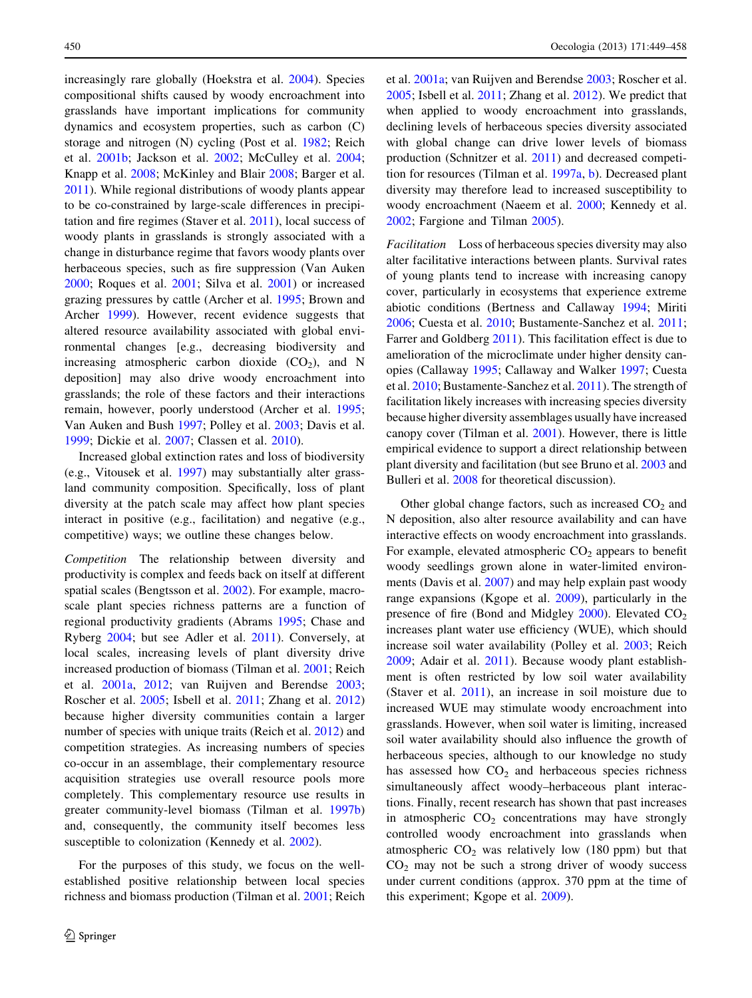increasingly rare globally (Hoekstra et al. [2004\)](#page-8-0). Species compositional shifts caused by woody encroachment into grasslands have important implications for community dynamics and ecosystem properties, such as carbon (C) storage and nitrogen (N) cycling (Post et al. [1982](#page-9-0); Reich et al. [2001b](#page-9-0); Jackson et al. [2002;](#page-8-0) McCulley et al. [2004](#page-9-0); Knapp et al. [2008;](#page-8-0) McKinley and Blair [2008](#page-9-0); Barger et al. [2011\)](#page-8-0). While regional distributions of woody plants appear to be co-constrained by large-scale differences in precipitation and fire regimes (Staver et al. [2011\)](#page-9-0), local success of woody plants in grasslands is strongly associated with a change in disturbance regime that favors woody plants over herbaceous species, such as fire suppression (Van Auken [2000;](#page-9-0) Roques et al. [2001](#page-9-0); Silva et al. [2001\)](#page-9-0) or increased grazing pressures by cattle (Archer et al. [1995;](#page-8-0) Brown and Archer [1999\)](#page-8-0). However, recent evidence suggests that altered resource availability associated with global environmental changes [e.g., decreasing biodiversity and increasing atmospheric carbon dioxide  $(CO<sub>2</sub>)$ , and N deposition] may also drive woody encroachment into grasslands; the role of these factors and their interactions remain, however, poorly understood (Archer et al. [1995](#page-8-0); Van Auken and Bush [1997;](#page-9-0) Polley et al. [2003](#page-9-0); Davis et al. [1999;](#page-8-0) Dickie et al. [2007;](#page-8-0) Classen et al. [2010\)](#page-8-0).

Increased global extinction rates and loss of biodiversity (e.g., Vitousek et al. [1997](#page-9-0)) may substantially alter grassland community composition. Specifically, loss of plant diversity at the patch scale may affect how plant species interact in positive (e.g., facilitation) and negative (e.g., competitive) ways; we outline these changes below.

Competition The relationship between diversity and productivity is complex and feeds back on itself at different spatial scales (Bengtsson et al. [2002\)](#page-8-0). For example, macroscale plant species richness patterns are a function of regional productivity gradients (Abrams [1995;](#page-8-0) Chase and Ryberg [2004;](#page-8-0) but see Adler et al. [2011](#page-8-0)). Conversely, at local scales, increasing levels of plant diversity drive increased production of biomass (Tilman et al. [2001](#page-9-0); Reich et al. [2001a](#page-9-0), [2012](#page-9-0); van Ruijven and Berendse [2003](#page-9-0); Roscher et al. [2005](#page-9-0); Isbell et al. [2011;](#page-8-0) Zhang et al. [2012\)](#page-9-0) because higher diversity communities contain a larger number of species with unique traits (Reich et al. [2012](#page-9-0)) and competition strategies. As increasing numbers of species co-occur in an assemblage, their complementary resource acquisition strategies use overall resource pools more completely. This complementary resource use results in greater community-level biomass (Tilman et al. [1997b\)](#page-9-0) and, consequently, the community itself becomes less susceptible to colonization (Kennedy et al. [2002](#page-8-0)).

For the purposes of this study, we focus on the wellestablished positive relationship between local species richness and biomass production (Tilman et al. [2001;](#page-9-0) Reich et al. [2001a](#page-9-0); van Ruijven and Berendse [2003;](#page-9-0) Roscher et al. [2005](#page-9-0); Isbell et al. [2011](#page-8-0); Zhang et al. [2012\)](#page-9-0). We predict that when applied to woody encroachment into grasslands, declining levels of herbaceous species diversity associated with global change can drive lower levels of biomass production (Schnitzer et al. [2011](#page-9-0)) and decreased competition for resources (Tilman et al. [1997a](#page-9-0), [b](#page-9-0)). Decreased plant diversity may therefore lead to increased susceptibility to woody encroachment (Naeem et al. [2000](#page-9-0); Kennedy et al. [2002](#page-8-0); Fargione and Tilman [2005](#page-8-0)).

Facilitation Loss of herbaceous species diversity may also alter facilitative interactions between plants. Survival rates of young plants tend to increase with increasing canopy cover, particularly in ecosystems that experience extreme abiotic conditions (Bertness and Callaway [1994;](#page-8-0) Miriti [2006](#page-9-0); Cuesta et al. [2010](#page-8-0); Bustamente-Sanchez et al. [2011](#page-8-0); Farrer and Goldberg [2011](#page-8-0)). This facilitation effect is due to amelioration of the microclimate under higher density canopies (Callaway [1995](#page-8-0); Callaway and Walker [1997](#page-8-0); Cuesta et al. [2010;](#page-8-0) Bustamente-Sanchez et al. [2011](#page-8-0)). The strength of facilitation likely increases with increasing species diversity because higher diversity assemblages usually have increased canopy cover (Tilman et al. [2001\)](#page-9-0). However, there is little empirical evidence to support a direct relationship between plant diversity and facilitation (but see Bruno et al. [2003](#page-8-0) and Bulleri et al. [2008](#page-8-0) for theoretical discussion).

Other global change factors, such as increased  $CO<sub>2</sub>$  and N deposition, also alter resource availability and can have interactive effects on woody encroachment into grasslands. For example, elevated atmospheric  $CO<sub>2</sub>$  appears to benefit woody seedlings grown alone in water-limited environments (Davis et al. [2007\)](#page-8-0) and may help explain past woody range expansions (Kgope et al. [2009\)](#page-8-0), particularly in the presence of fire (Bond and Midgley  $2000$ ). Elevated  $CO<sub>2</sub>$ increases plant water use efficiency (WUE), which should increase soil water availability (Polley et al. [2003](#page-9-0); Reich [2009](#page-9-0); Adair et al. [2011](#page-8-0)). Because woody plant establishment is often restricted by low soil water availability (Staver et al. [2011](#page-9-0)), an increase in soil moisture due to increased WUE may stimulate woody encroachment into grasslands. However, when soil water is limiting, increased soil water availability should also influence the growth of herbaceous species, although to our knowledge no study has assessed how  $CO<sub>2</sub>$  and herbaceous species richness simultaneously affect woody–herbaceous plant interactions. Finally, recent research has shown that past increases in atmospheric  $CO<sub>2</sub>$  concentrations may have strongly controlled woody encroachment into grasslands when atmospheric  $CO<sub>2</sub>$  was relatively low (180 ppm) but that  $CO<sub>2</sub>$  may not be such a strong driver of woody success under current conditions (approx. 370 ppm at the time of this experiment; Kgope et al. [2009\)](#page-8-0).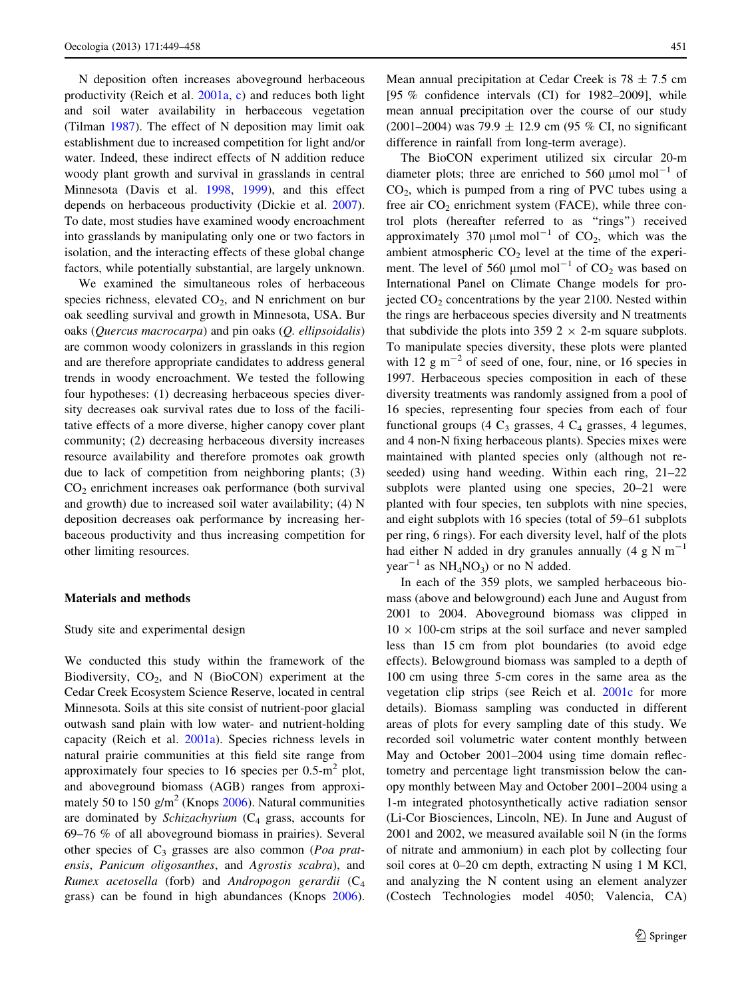N deposition often increases aboveground herbaceous productivity (Reich et al. [2001a](#page-9-0), [c\)](#page-9-0) and reduces both light and soil water availability in herbaceous vegetation (Tilman [1987](#page-9-0)). The effect of N deposition may limit oak establishment due to increased competition for light and/or water. Indeed, these indirect effects of N addition reduce woody plant growth and survival in grasslands in central Minnesota (Davis et al. [1998,](#page-8-0) [1999\)](#page-8-0), and this effect depends on herbaceous productivity (Dickie et al. [2007](#page-8-0)). To date, most studies have examined woody encroachment into grasslands by manipulating only one or two factors in isolation, and the interacting effects of these global change factors, while potentially substantial, are largely unknown.

We examined the simultaneous roles of herbaceous species richness, elevated  $CO<sub>2</sub>$ , and N enrichment on bur oak seedling survival and growth in Minnesota, USA. Bur oaks (Quercus macrocarpa) and pin oaks (Q. ellipsoidalis) are common woody colonizers in grasslands in this region and are therefore appropriate candidates to address general trends in woody encroachment. We tested the following four hypotheses: (1) decreasing herbaceous species diversity decreases oak survival rates due to loss of the facilitative effects of a more diverse, higher canopy cover plant community; (2) decreasing herbaceous diversity increases resource availability and therefore promotes oak growth due to lack of competition from neighboring plants; (3) CO2 enrichment increases oak performance (both survival and growth) due to increased soil water availability; (4) N deposition decreases oak performance by increasing herbaceous productivity and thus increasing competition for other limiting resources.

#### Materials and methods

#### Study site and experimental design

We conducted this study within the framework of the Biodiversity,  $CO<sub>2</sub>$ , and N (BioCON) experiment at the Cedar Creek Ecosystem Science Reserve, located in central Minnesota. Soils at this site consist of nutrient-poor glacial outwash sand plain with low water- and nutrient-holding capacity (Reich et al. [2001a\)](#page-9-0). Species richness levels in natural prairie communities at this field site range from approximately four species to 16 species per  $0.5 \text{ m}^2$  plot, and aboveground biomass (AGB) ranges from approximately 50 to 150  $\text{g/m}^2$  (Knops [2006](#page-9-0)). Natural communities are dominated by Schizachyrium  $(C_4$  grass, accounts for 69–76 % of all aboveground biomass in prairies). Several other species of  $C_3$  grasses are also common (*Poa prat*ensis, Panicum oligosanthes, and Agrostis scabra), and Rumex acetosella (forb) and Andropogon gerardii  $(C_4)$ grass) can be found in high abundances (Knops [2006](#page-9-0)).

Mean annual precipitation at Cedar Creek is  $78 \pm 7.5$  cm [95 % confidence intervals (CI) for 1982–2009], while mean annual precipitation over the course of our study (2001–2004) was 79.9  $\pm$  12.9 cm (95 % CI, no significant difference in rainfall from long-term average).

The BioCON experiment utilized six circular 20-m diameter plots; three are enriched to 560  $\mu$ mol mol<sup>-1</sup> of  $CO<sub>2</sub>$ , which is pumped from a ring of PVC tubes using a free air  $CO<sub>2</sub>$  enrichment system (FACE), while three control plots (hereafter referred to as "rings") received approximately 370  $\mu$ mol mol<sup>-1</sup> of CO<sub>2</sub>, which was the ambient atmospheric  $CO<sub>2</sub>$  level at the time of the experiment. The level of 560  $\mu$ mol mol<sup>-1</sup> of CO<sub>2</sub> was based on International Panel on Climate Change models for projected  $CO<sub>2</sub>$  concentrations by the year 2100. Nested within the rings are herbaceous species diversity and N treatments that subdivide the plots into 359 2  $\times$  2-m square subplots. To manipulate species diversity, these plots were planted with 12  $\rm g$  m<sup>-2</sup> of seed of one, four, nine, or 16 species in 1997. Herbaceous species composition in each of these diversity treatments was randomly assigned from a pool of 16 species, representing four species from each of four functional groups (4  $C_3$  grasses, 4  $C_4$  grasses, 4 legumes, and 4 non-N fixing herbaceous plants). Species mixes were maintained with planted species only (although not reseeded) using hand weeding. Within each ring, 21–22 subplots were planted using one species, 20–21 were planted with four species, ten subplots with nine species, and eight subplots with 16 species (total of 59–61 subplots per ring, 6 rings). For each diversity level, half of the plots had either N added in dry granules annually  $(4 \text{ g N m}^{-1})$  $year^{-1}$  as  $NH<sub>4</sub>NO<sub>3</sub>$  or no N added.

In each of the 359 plots, we sampled herbaceous biomass (above and belowground) each June and August from 2001 to 2004. Aboveground biomass was clipped in  $10 \times 100$ -cm strips at the soil surface and never sampled less than 15 cm from plot boundaries (to avoid edge effects). Belowground biomass was sampled to a depth of 100 cm using three 5-cm cores in the same area as the vegetation clip strips (see Reich et al. [2001c](#page-9-0) for more details). Biomass sampling was conducted in different areas of plots for every sampling date of this study. We recorded soil volumetric water content monthly between May and October 2001–2004 using time domain reflectometry and percentage light transmission below the canopy monthly between May and October 2001–2004 using a 1-m integrated photosynthetically active radiation sensor (Li-Cor Biosciences, Lincoln, NE). In June and August of 2001 and 2002, we measured available soil N (in the forms of nitrate and ammonium) in each plot by collecting four soil cores at 0–20 cm depth, extracting N using 1 M KCl, and analyzing the N content using an element analyzer (Costech Technologies model 4050; Valencia, CA)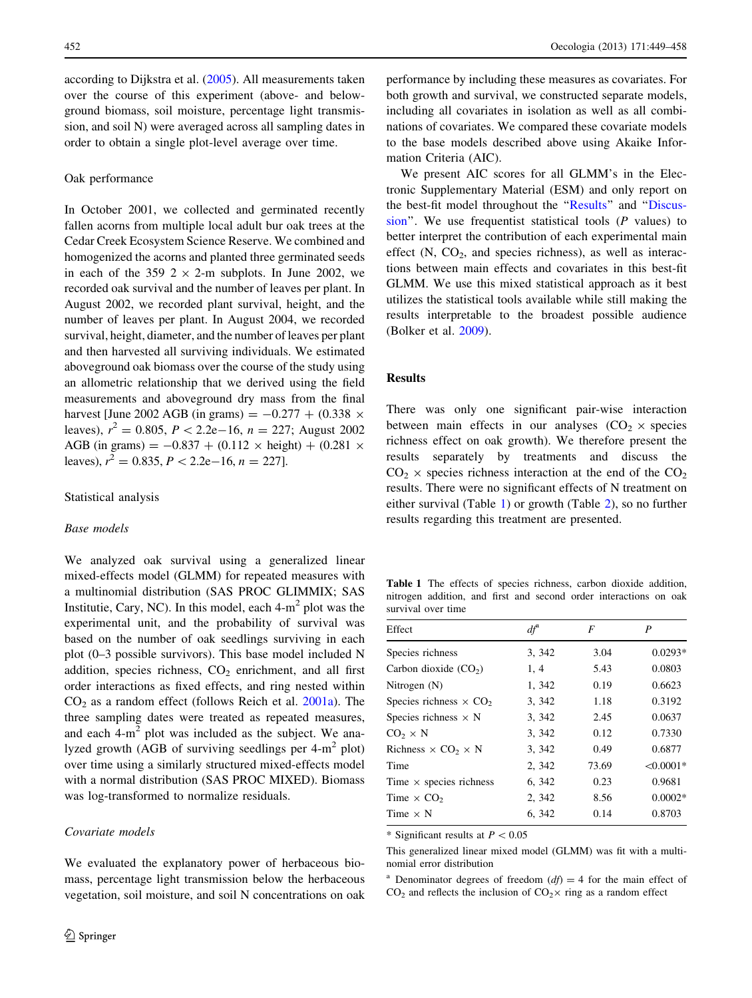<span id="page-3-0"></span>according to Dijkstra et al. ([2005\)](#page-8-0). All measurements taken over the course of this experiment (above- and belowground biomass, soil moisture, percentage light transmission, and soil N) were averaged across all sampling dates in order to obtain a single plot-level average over time.

#### Oak performance

In October 2001, we collected and germinated recently fallen acorns from multiple local adult bur oak trees at the Cedar Creek Ecosystem Science Reserve. We combined and homogenized the acorns and planted three germinated seeds in each of the 359  $2 \times 2$ -m subplots. In June 2002, we recorded oak survival and the number of leaves per plant. In August 2002, we recorded plant survival, height, and the number of leaves per plant. In August 2004, we recorded survival, height, diameter, and the number of leaves per plant and then harvested all surviving individuals. We estimated aboveground oak biomass over the course of the study using an allometric relationship that we derived using the field measurements and aboveground dry mass from the final harvest [June 2002 AGB (in grams) =  $-0.277 + (0.338 \times$ leaves),  $r^2 = 0.805$ ,  $P < 2.2e-16$ ,  $n = 227$ ; August 2002 AGB (in grams) =  $-0.837 + (0.112 \times \text{height}) + (0.281 \times$ leaves),  $r^2 = 0.835, P < 2.2e-16, n = 227$ .

#### Statistical analysis

# Base models

We analyzed oak survival using a generalized linear mixed-effects model (GLMM) for repeated measures with a multinomial distribution (SAS PROC GLIMMIX; SAS Institutie, Cary, NC). In this model, each  $4-m^2$  plot was the experimental unit, and the probability of survival was based on the number of oak seedlings surviving in each plot (0–3 possible survivors). This base model included N addition, species richness,  $CO<sub>2</sub>$  enrichment, and all first order interactions as fixed effects, and ring nested within  $CO<sub>2</sub>$  as a random effect (follows Reich et al.  $2001a$ ). The three sampling dates were treated as repeated measures, and each  $4-m^2$  plot was included as the subject. We analyzed growth (AGB of surviving seedlings per  $4-m^2$  plot) over time using a similarly structured mixed-effects model with a normal distribution (SAS PROC MIXED). Biomass was log-transformed to normalize residuals.

## Covariate models

We evaluated the explanatory power of herbaceous biomass, percentage light transmission below the herbaceous vegetation, soil moisture, and soil N concentrations on oak

performance by including these measures as covariates. For both growth and survival, we constructed separate models, including all covariates in isolation as well as all combinations of covariates. We compared these covariate models to the base models described above using Akaike Information Criteria (AIC).

We present AIC scores for all GLMM's in the Electronic Supplementary Material (ESM) and only report on the best-fit model throughout the ''Results'' and ''[Discus](#page-5-0)sion". We use frequentist statistical tools  $(P \text{ values})$  to better interpret the contribution of each experimental main effect  $(N, CO<sub>2</sub>, and species richness)$ , as well as interactions between main effects and covariates in this best-fit GLMM. We use this mixed statistical approach as it best utilizes the statistical tools available while still making the results interpretable to the broadest possible audience (Bolker et al. [2009\)](#page-8-0).

# Results

There was only one significant pair-wise interaction between main effects in our analyses  $(CO<sub>2</sub> \times species$ richness effect on oak growth). We therefore present the results separately by treatments and discuss the  $CO<sub>2</sub> \times$  species richness interaction at the end of the  $CO<sub>2</sub>$ results. There were no significant effects of N treatment on either survival (Table 1) or growth (Table [2](#page-4-0)), so no further results regarding this treatment are presented.

Table 1 The effects of species richness, carbon dioxide addition, nitrogen addition, and first and second order interactions on oak survival over time

| Effect                                       | $df^{\mathrm{a}}$ | F     | P           |
|----------------------------------------------|-------------------|-------|-------------|
| Species richness                             | 3, 342            | 3.04  | $0.0293*$   |
| Carbon dioxide $(CO2)$                       | 1, 4              | 5.43  | 0.0803      |
| Nitrogen (N)                                 | 1, 342            | 0.19  | 0.6623      |
| Species richness $\times$ CO <sub>2</sub>    | 3, 342            | 1.18  | 0.3192      |
| Species richness $\times$ N                  | 3, 342            | 2.45  | 0.0637      |
| $CO2 \times N$                               | 3, 342            | 0.12  | 0.7330      |
| Richness $\times$ CO <sub>2</sub> $\times$ N | 3, 342            | 0.49  | 0.6877      |
| Time                                         | 2, 342            | 73.69 | $< 0.0001*$ |
| Time $\times$ species richness               | 6, 342            | 0.23  | 0.9681      |
| Time $\times$ CO <sub>2</sub>                | 2, 342            | 8.56  | $0.0002*$   |
| Time $\times$ N                              | 6, 342            | 0.14  | 0.8703      |
|                                              |                   |       |             |

\* Significant results at  $P < 0.05$ 

This generalized linear mixed model (GLMM) was fit with a multinomial error distribution

Denominator degrees of freedom  $(df) = 4$  for the main effect of  $CO<sub>2</sub>$  and reflects the inclusion of  $CO<sub>2</sub> \times$  ring as a random effect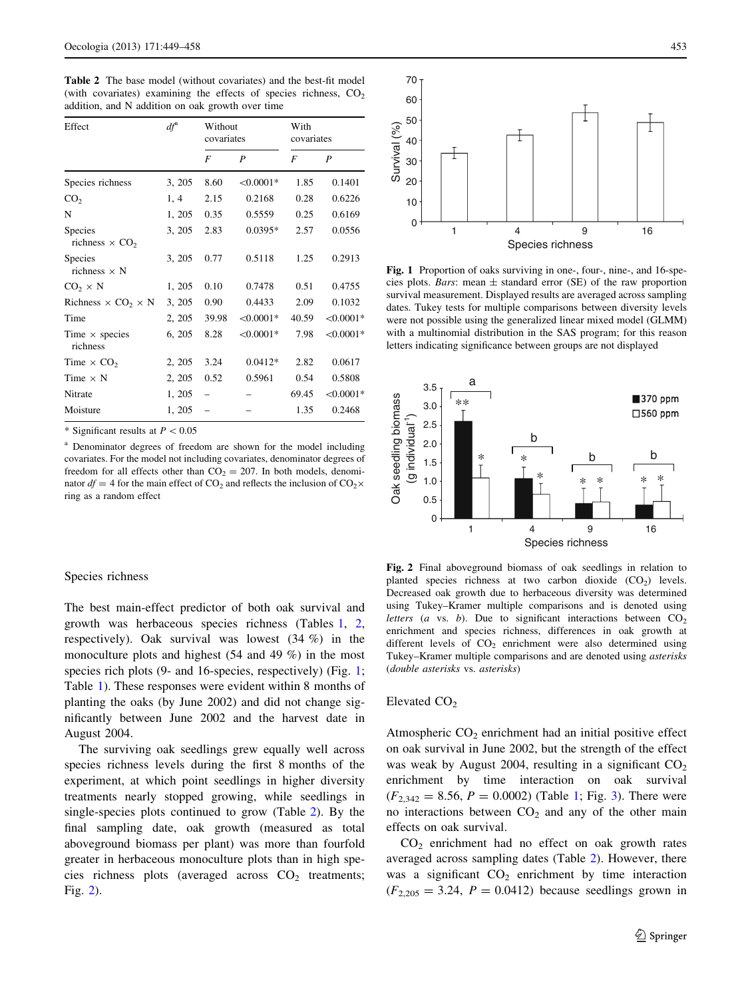<span id="page-4-0"></span>Table 2 The base model (without covariates) and the best-fit model (with covariates) examining the effects of species richness,  $CO<sub>2</sub>$ addition, and N addition on oak growth over time

| Effect                                       | $df^{\mathrm{a}}$ | Without<br>covariates |             | With<br>covariates |             |
|----------------------------------------------|-------------------|-----------------------|-------------|--------------------|-------------|
|                                              |                   | F                     | P           | F                  | P           |
| Species richness                             | 3, 205            | 8.60                  | $< 0.0001*$ | 1.85               | 0.1401      |
| CO <sub>2</sub>                              | 1, 4              | 2.15                  | 0.2168      | 0.28               | 0.6226      |
| N                                            | 1, 205            | 0.35                  | 0.5559      | 0.25               | 0.6169      |
| Species<br>richness $\times$ CO <sub>2</sub> | 3, 205            | 2.83                  | $0.0395*$   | 2.57               | 0.0556      |
| Species<br>richness $\times$ N               | 3, 205            | 0.77                  | 0.5118      | 1.25               | 0.2913      |
| $CO2 \times N$                               | 1, 205            | 0.10                  | 0.7478      | 0.51               | 0.4755      |
| Richness $\times$ CO <sub>2</sub> $\times$ N | 3, 205            | 0.90                  | 0.4433      | 2.09               | 0.1032      |
| Time                                         | 2, 205            | 39.98                 | $< 0.0001*$ | 40.59              | $< 0.0001*$ |
| Time $\times$ species<br>richness            | 6, 205            | 8.28                  | $< 0.0001*$ | 7.98               | $< 0.0001*$ |
| Time $\times$ CO <sub>2</sub>                | 2, 205            | 3.24                  | $0.0412*$   | 2.82               | 0.0617      |
| Time $\times$ N                              | 2, 205            | 0.52                  | 0.5961      | 0.54               | 0.5808      |
| Nitrate                                      | 1, 205            |                       |             | 69.45              | $<0.0001*$  |
| Moisture                                     | 1, 205            |                       |             | 1.35               | 0.2468      |

\* Significant results at  $P < 0.05$ 

<sup>a</sup> Denominator degrees of freedom are shown for the model including covariates. For the model not including covariates, denominator degrees of freedom for all effects other than  $CO<sub>2</sub> = 207$ . In both models, denominator  $df = 4$  for the main effect of CO<sub>2</sub> and reflects the inclusion of CO<sub>2</sub>× ring as a random effect

#### Species richness

The best main-effect predictor of both oak survival and growth was herbaceous species richness (Tables [1,](#page-3-0) 2, respectively). Oak survival was lowest (34 %) in the monoculture plots and highest (54 and 49 %) in the most species rich plots (9- and 16-species, respectively) (Fig. 1; Table [1](#page-3-0)). These responses were evident within 8 months of planting the oaks (by June 2002) and did not change significantly between June 2002 and the harvest date in August 2004.

The surviving oak seedlings grew equally well across species richness levels during the first 8 months of the experiment, at which point seedlings in higher diversity treatments nearly stopped growing, while seedlings in single-species plots continued to grow (Table 2). By the final sampling date, oak growth (measured as total aboveground biomass per plant) was more than fourfold greater in herbaceous monoculture plots than in high species richness plots (averaged across  $CO<sub>2</sub>$  treatments; Fig. 2).



Fig. 1 Proportion of oaks surviving in one-, four-, nine-, and 16-species plots. *Bars*: mean  $\pm$  standard error (SE) of the raw proportion survival measurement. Displayed results are averaged across sampling dates. Tukey tests for multiple comparisons between diversity levels were not possible using the generalized linear mixed model (GLMM) with a multinomial distribution in the SAS program; for this reason letters indicating significance between groups are not displayed



Fig. 2 Final aboveground biomass of oak seedlings in relation to planted species richness at two carbon dioxide  $(CO<sub>2</sub>)$  levels. Decreased oak growth due to herbaceous diversity was determined using Tukey–Kramer multiple comparisons and is denoted using letters (a vs. b). Due to significant interactions between  $CO<sub>2</sub>$ enrichment and species richness, differences in oak growth at different levels of  $CO<sub>2</sub>$  enrichment were also determined using Tukey–Kramer multiple comparisons and are denoted using asterisks (double asterisks vs. asterisks)

# Elevated  $CO<sub>2</sub>$

Atmospheric  $CO<sub>2</sub>$  enrichment had an initial positive effect on oak survival in June 2002, but the strength of the effect was weak by August 2004, resulting in a significant  $CO<sub>2</sub>$ enrichment by time interaction on oak survival  $(F_{2,342} = 8.56, P = 0.0002)$  $(F_{2,342} = 8.56, P = 0.0002)$  $(F_{2,342} = 8.56, P = 0.0002)$  (Table [1;](#page-3-0) Fig. 3). There were no interactions between  $CO<sub>2</sub>$  and any of the other main effects on oak survival.

 $CO<sub>2</sub>$  enrichment had no effect on oak growth rates averaged across sampling dates (Table 2). However, there was a significant  $CO<sub>2</sub>$  enrichment by time interaction  $(F_{2,205} = 3.24, P = 0.0412)$  because seedlings grown in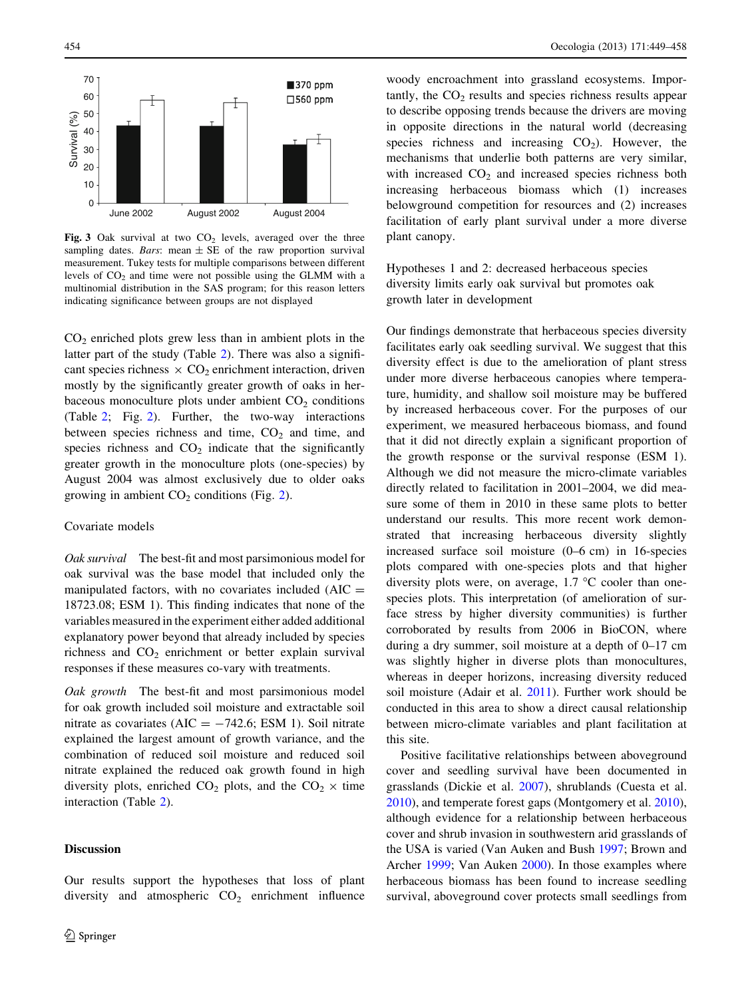<span id="page-5-0"></span>

Fig. 3 Oak survival at two  $CO<sub>2</sub>$  levels, averaged over the three sampling dates. Bars: mean  $\pm$  SE of the raw proportion survival measurement. Tukey tests for multiple comparisons between different levels of  $CO<sub>2</sub>$  and time were not possible using the GLMM with a multinomial distribution in the SAS program; for this reason letters indicating significance between groups are not displayed

 $CO<sub>2</sub>$  enriched plots grew less than in ambient plots in the latter part of the study (Table [2\)](#page-4-0). There was also a significant species richness  $\times$  CO<sub>2</sub> enrichment interaction, driven mostly by the significantly greater growth of oaks in herbaceous monoculture plots under ambient  $CO<sub>2</sub>$  conditions (Table [2](#page-4-0); Fig. [2](#page-4-0)). Further, the two-way interactions between species richness and time,  $CO<sub>2</sub>$  and time, and species richness and  $CO<sub>2</sub>$  indicate that the significantly greater growth in the monoculture plots (one-species) by August 2004 was almost exclusively due to older oaks growing in ambient  $CO<sub>2</sub>$  $CO<sub>2</sub>$  $CO<sub>2</sub>$  conditions (Fig. 2).

## Covariate models

Oak survival The best-fit and most parsimonious model for oak survival was the base model that included only the manipulated factors, with no covariates included  $(AIC =$ 18723.08; ESM 1). This finding indicates that none of the variables measured in the experiment either added additional explanatory power beyond that already included by species richness and  $CO<sub>2</sub>$  enrichment or better explain survival responses if these measures co-vary with treatments.

Oak growth The best-fit and most parsimonious model for oak growth included soil moisture and extractable soil nitrate as covariates ( $AIC = -742.6$ ; ESM 1). Soil nitrate explained the largest amount of growth variance, and the combination of reduced soil moisture and reduced soil nitrate explained the reduced oak growth found in high diversity plots, enriched  $CO<sub>2</sub>$  plots, and the  $CO<sub>2</sub> \times$  time interaction (Table [2\)](#page-4-0).

Our results support the hypotheses that loss of plant

# **Discussion**

woody encroachment into grassland ecosystems. Impor $t$  tantly, the  $CO<sub>2</sub>$  results and species richness results appear to describe opposing trends because the drivers are moving in opposite directions in the natural world (decreasing species richness and increasing  $CO<sub>2</sub>$ ). However, the mechanisms that underlie both patterns are very similar, with increased  $CO<sub>2</sub>$  and increased species richness both increasing herbaceous biomass which (1) increases belowground competition for resources and (2) increases facilitation of early plant survival under a more diverse plant canopy.

Hypotheses 1 and 2: decreased herbaceous species diversity limits early oak survival but promotes oak growth later in development

Our findings demonstrate that herbaceous species diversity facilitates early oak seedling survival. We suggest that this diversity effect is due to the amelioration of plant stress under more diverse herbaceous canopies where temperature, humidity, and shallow soil moisture may be buffered by increased herbaceous cover. For the purposes of our experiment, we measured herbaceous biomass, and found that it did not directly explain a significant proportion of the growth response or the survival response (ESM 1). Although we did not measure the micro-climate variables directly related to facilitation in 2001–2004, we did measure some of them in 2010 in these same plots to better understand our results. This more recent work demonstrated that increasing herbaceous diversity slightly increased surface soil moisture (0–6 cm) in 16-species plots compared with one-species plots and that higher diversity plots were, on average,  $1.7 \text{ }^{\circ}\text{C}$  cooler than onespecies plots. This interpretation (of amelioration of surface stress by higher diversity communities) is further corroborated by results from 2006 in BioCON, where during a dry summer, soil moisture at a depth of 0–17 cm was slightly higher in diverse plots than monocultures, whereas in deeper horizons, increasing diversity reduced soil moisture (Adair et al. [2011](#page-8-0)). Further work should be conducted in this area to show a direct causal relationship between micro-climate variables and plant facilitation at this site.

Positive facilitative relationships between aboveground cover and seedling survival have been documented in grasslands (Dickie et al. [2007](#page-8-0)), shrublands (Cuesta et al. [2010](#page-8-0)), and temperate forest gaps (Montgomery et al. [2010](#page-9-0)), although evidence for a relationship between herbaceous cover and shrub invasion in southwestern arid grasslands of the USA is varied (Van Auken and Bush [1997](#page-9-0); Brown and Archer [1999](#page-8-0); Van Auken [2000](#page-9-0)). In those examples where herbaceous biomass has been found to increase seedling survival, aboveground cover protects small seedlings from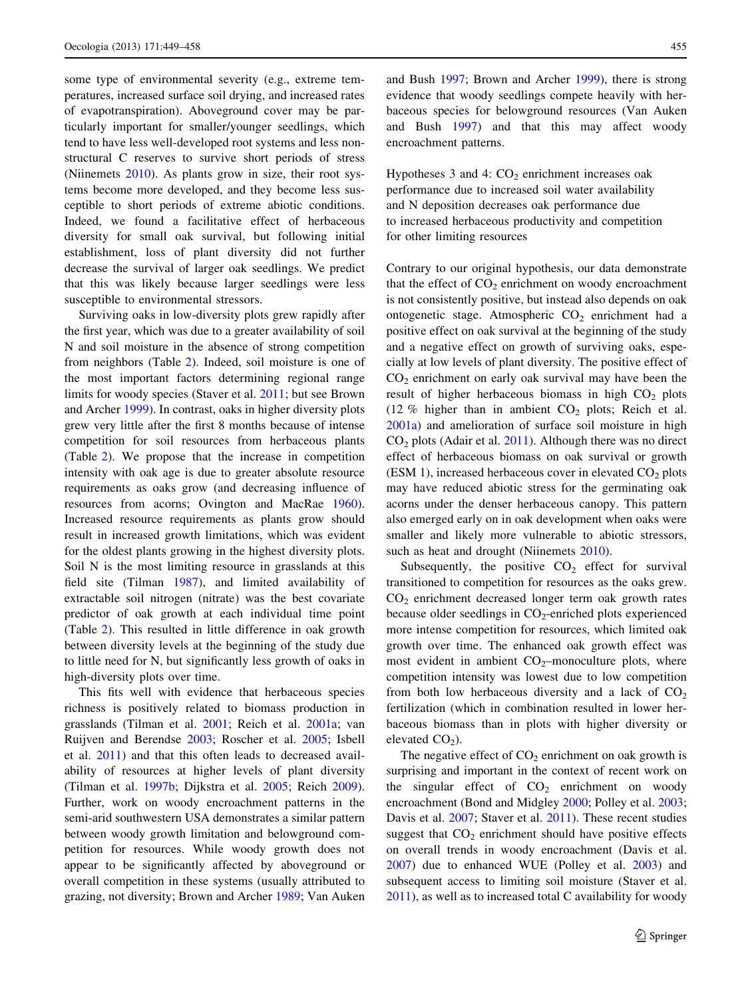some type of environmental severity (e.g., extreme temperatures, increased surface soil drying, and increased rates of evapotranspiration). Aboveground cover may be particularly important for smaller/younger seedlings, which tend to have less well-developed root systems and less nonstructural C reserves to survive short periods of stress (Niinemets [2010\)](#page-9-0). As plants grow in size, their root systems become more developed, and they become less susceptible to short periods of extreme abiotic conditions. Indeed, we found a facilitative effect of herbaceous diversity for small oak survival, but following initial establishment, loss of plant diversity did not further decrease the survival of larger oak seedlings. We predict that this was likely because larger seedlings were less susceptible to environmental stressors.

Surviving oaks in low-diversity plots grew rapidly after the first year, which was due to a greater availability of soil N and soil moisture in the absence of strong competition from neighbors (Table [2\)](#page-4-0). Indeed, soil moisture is one of the most important factors determining regional range limits for woody species (Staver et al. [2011;](#page-9-0) but see Brown and Archer [1999\)](#page-8-0). In contrast, oaks in higher diversity plots grew very little after the first 8 months because of intense competition for soil resources from herbaceous plants (Table [2](#page-4-0)). We propose that the increase in competition intensity with oak age is due to greater absolute resource requirements as oaks grow (and decreasing influence of resources from acorns; Ovington and MacRae [1960](#page-9-0)). Increased resource requirements as plants grow should result in increased growth limitations, which was evident for the oldest plants growing in the highest diversity plots. Soil N is the most limiting resource in grasslands at this field site (Tilman [1987](#page-9-0)), and limited availability of extractable soil nitrogen (nitrate) was the best covariate predictor of oak growth at each individual time point (Table [2](#page-4-0)). This resulted in little difference in oak growth between diversity levels at the beginning of the study due to little need for N, but significantly less growth of oaks in high-diversity plots over time.

This fits well with evidence that herbaceous species richness is positively related to biomass production in grasslands (Tilman et al. [2001;](#page-9-0) Reich et al. [2001a](#page-9-0); van Ruijven and Berendse [2003](#page-9-0); Roscher et al. [2005](#page-9-0); Isbell et al. [2011\)](#page-8-0) and that this often leads to decreased availability of resources at higher levels of plant diversity (Tilman et al. [1997b;](#page-9-0) Dijkstra et al. [2005](#page-8-0); Reich [2009](#page-9-0)). Further, work on woody encroachment patterns in the semi-arid southwestern USA demonstrates a similar pattern between woody growth limitation and belowground competition for resources. While woody growth does not appear to be significantly affected by aboveground or overall competition in these systems (usually attributed to grazing, not diversity; Brown and Archer [1989](#page-8-0); Van Auken

and Bush [1997;](#page-9-0) Brown and Archer [1999\)](#page-8-0), there is strong evidence that woody seedlings compete heavily with herbaceous species for belowground resources (Van Auken and Bush [1997](#page-9-0)) and that this may affect woody encroachment patterns.

Hypotheses 3 and 4:  $CO<sub>2</sub>$  enrichment increases oak performance due to increased soil water availability and N deposition decreases oak performance due to increased herbaceous productivity and competition for other limiting resources

Contrary to our original hypothesis, our data demonstrate that the effect of  $CO<sub>2</sub>$  enrichment on woody encroachment is not consistently positive, but instead also depends on oak ontogenetic stage. Atmospheric  $CO<sub>2</sub>$  enrichment had a positive effect on oak survival at the beginning of the study and a negative effect on growth of surviving oaks, especially at low levels of plant diversity. The positive effect of  $CO<sub>2</sub>$  enrichment on early oak survival may have been the result of higher herbaceous biomass in high  $CO<sub>2</sub>$  plots (12 % higher than in ambient  $CO<sub>2</sub>$  plots; Reich et al. [2001a\)](#page-9-0) and amelioration of surface soil moisture in high  $CO<sub>2</sub>$  plots (Adair et al. [2011](#page-8-0)). Although there was no direct effect of herbaceous biomass on oak survival or growth (ESM 1), increased herbaceous cover in elevated  $CO<sub>2</sub>$  plots may have reduced abiotic stress for the germinating oak acorns under the denser herbaceous canopy. This pattern also emerged early on in oak development when oaks were smaller and likely more vulnerable to abiotic stressors, such as heat and drought (Niinemets [2010](#page-9-0)).

Subsequently, the positive  $CO<sub>2</sub>$  effect for survival transitioned to competition for resources as the oaks grew. CO2 enrichment decreased longer term oak growth rates because older seedlings in  $CO<sub>2</sub>$ -enriched plots experienced more intense competition for resources, which limited oak growth over time. The enhanced oak growth effect was most evident in ambient  $CO_2$ -monoculture plots, where competition intensity was lowest due to low competition from both low herbaceous diversity and a lack of  $CO<sub>2</sub>$ fertilization (which in combination resulted in lower herbaceous biomass than in plots with higher diversity or elevated  $CO<sub>2</sub>$ ).

The negative effect of  $CO<sub>2</sub>$  enrichment on oak growth is surprising and important in the context of recent work on the singular effect of  $CO<sub>2</sub>$  enrichment on woody encroachment (Bond and Midgley [2000;](#page-8-0) Polley et al. [2003](#page-9-0); Davis et al. [2007;](#page-8-0) Staver et al. [2011](#page-9-0)). These recent studies suggest that  $CO<sub>2</sub>$  enrichment should have positive effects on overall trends in woody encroachment (Davis et al. [2007](#page-8-0)) due to enhanced WUE (Polley et al. [2003](#page-9-0)) and subsequent access to limiting soil moisture (Staver et al. [2011](#page-9-0)), as well as to increased total C availability for woody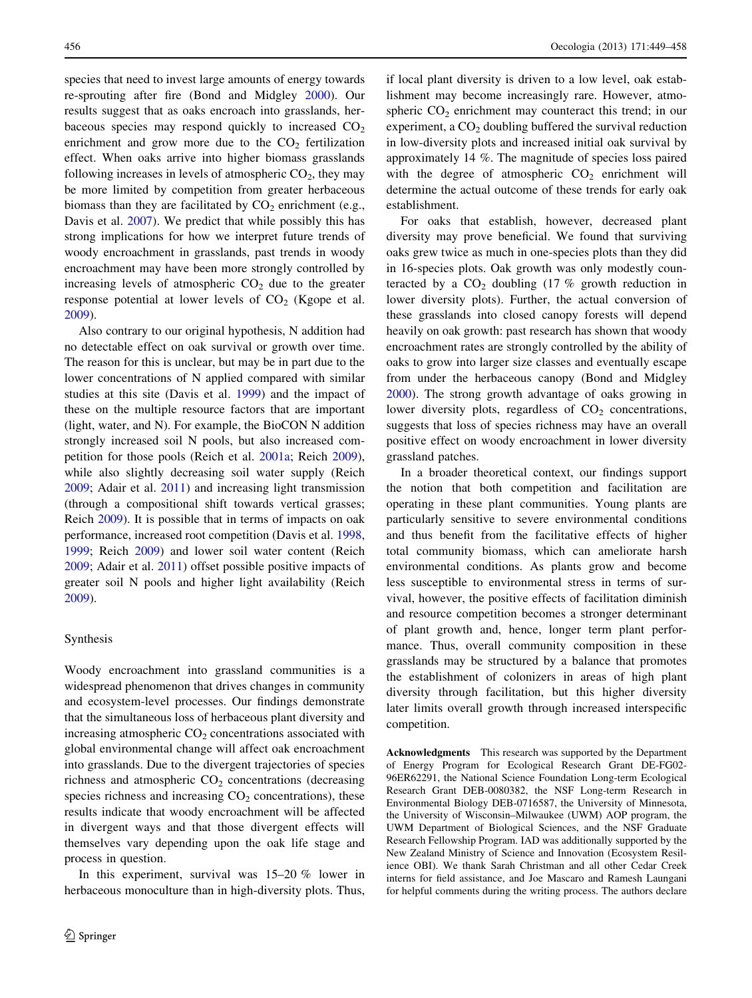species that need to invest large amounts of energy towards re-sprouting after fire (Bond and Midgley [2000\)](#page-8-0). Our results suggest that as oaks encroach into grasslands, herbaceous species may respond quickly to increased  $CO<sub>2</sub>$ enrichment and grow more due to the  $CO<sub>2</sub>$  fertilization effect. When oaks arrive into higher biomass grasslands following increases in levels of atmospheric  $CO<sub>2</sub>$ , they may be more limited by competition from greater herbaceous biomass than they are facilitated by  $CO<sub>2</sub>$  enrichment (e.g., Davis et al. [2007\)](#page-8-0). We predict that while possibly this has strong implications for how we interpret future trends of woody encroachment in grasslands, past trends in woody encroachment may have been more strongly controlled by increasing levels of atmospheric  $CO<sub>2</sub>$  due to the greater response potential at lower levels of  $CO<sub>2</sub>$  (Kgope et al. [2009\)](#page-8-0).

Also contrary to our original hypothesis, N addition had no detectable effect on oak survival or growth over time. The reason for this is unclear, but may be in part due to the lower concentrations of N applied compared with similar studies at this site (Davis et al. [1999\)](#page-8-0) and the impact of these on the multiple resource factors that are important (light, water, and N). For example, the BioCON N addition strongly increased soil N pools, but also increased competition for those pools (Reich et al. [2001a;](#page-9-0) Reich [2009](#page-9-0)), while also slightly decreasing soil water supply (Reich [2009;](#page-9-0) Adair et al. [2011](#page-8-0)) and increasing light transmission (through a compositional shift towards vertical grasses; Reich [2009\)](#page-9-0). It is possible that in terms of impacts on oak performance, increased root competition (Davis et al. [1998,](#page-8-0) [1999;](#page-8-0) Reich [2009\)](#page-9-0) and lower soil water content (Reich [2009;](#page-9-0) Adair et al. [2011\)](#page-8-0) offset possible positive impacts of greater soil N pools and higher light availability (Reich [2009\)](#page-9-0).

## Synthesis

Woody encroachment into grassland communities is a widespread phenomenon that drives changes in community and ecosystem-level processes. Our findings demonstrate that the simultaneous loss of herbaceous plant diversity and increasing atmospheric  $CO<sub>2</sub>$  concentrations associated with global environmental change will affect oak encroachment into grasslands. Due to the divergent trajectories of species richness and atmospheric  $CO<sub>2</sub>$  concentrations (decreasing species richness and increasing  $CO<sub>2</sub>$  concentrations), these results indicate that woody encroachment will be affected in divergent ways and that those divergent effects will themselves vary depending upon the oak life stage and process in question.

In this experiment, survival was 15–20 % lower in herbaceous monoculture than in high-diversity plots. Thus,

if local plant diversity is driven to a low level, oak establishment may become increasingly rare. However, atmospheric  $CO<sub>2</sub>$  enrichment may counteract this trend; in our experiment, a  $CO<sub>2</sub>$  doubling buffered the survival reduction in low-diversity plots and increased initial oak survival by approximately 14 %. The magnitude of species loss paired with the degree of atmospheric  $CO<sub>2</sub>$  enrichment will determine the actual outcome of these trends for early oak establishment.

For oaks that establish, however, decreased plant diversity may prove beneficial. We found that surviving oaks grew twice as much in one-species plots than they did in 16-species plots. Oak growth was only modestly counteracted by a  $CO<sub>2</sub>$  doubling (17 % growth reduction in lower diversity plots). Further, the actual conversion of these grasslands into closed canopy forests will depend heavily on oak growth: past research has shown that woody encroachment rates are strongly controlled by the ability of oaks to grow into larger size classes and eventually escape from under the herbaceous canopy (Bond and Midgley [2000](#page-8-0)). The strong growth advantage of oaks growing in lower diversity plots, regardless of  $CO<sub>2</sub>$  concentrations, suggests that loss of species richness may have an overall positive effect on woody encroachment in lower diversity grassland patches.

In a broader theoretical context, our findings support the notion that both competition and facilitation are operating in these plant communities. Young plants are particularly sensitive to severe environmental conditions and thus benefit from the facilitative effects of higher total community biomass, which can ameliorate harsh environmental conditions. As plants grow and become less susceptible to environmental stress in terms of survival, however, the positive effects of facilitation diminish and resource competition becomes a stronger determinant of plant growth and, hence, longer term plant performance. Thus, overall community composition in these grasslands may be structured by a balance that promotes the establishment of colonizers in areas of high plant diversity through facilitation, but this higher diversity later limits overall growth through increased interspecific competition.

Acknowledgments This research was supported by the Department of Energy Program for Ecological Research Grant DE-FG02- 96ER62291, the National Science Foundation Long-term Ecological Research Grant DEB-0080382, the NSF Long-term Research in Environmental Biology DEB-0716587, the University of Minnesota, the University of Wisconsin–Milwaukee (UWM) AOP program, the UWM Department of Biological Sciences, and the NSF Graduate Research Fellowship Program. IAD was additionally supported by the New Zealand Ministry of Science and Innovation (Ecosystem Resilience OBI). We thank Sarah Christman and all other Cedar Creek interns for field assistance, and Joe Mascaro and Ramesh Laungani for helpful comments during the writing process. The authors declare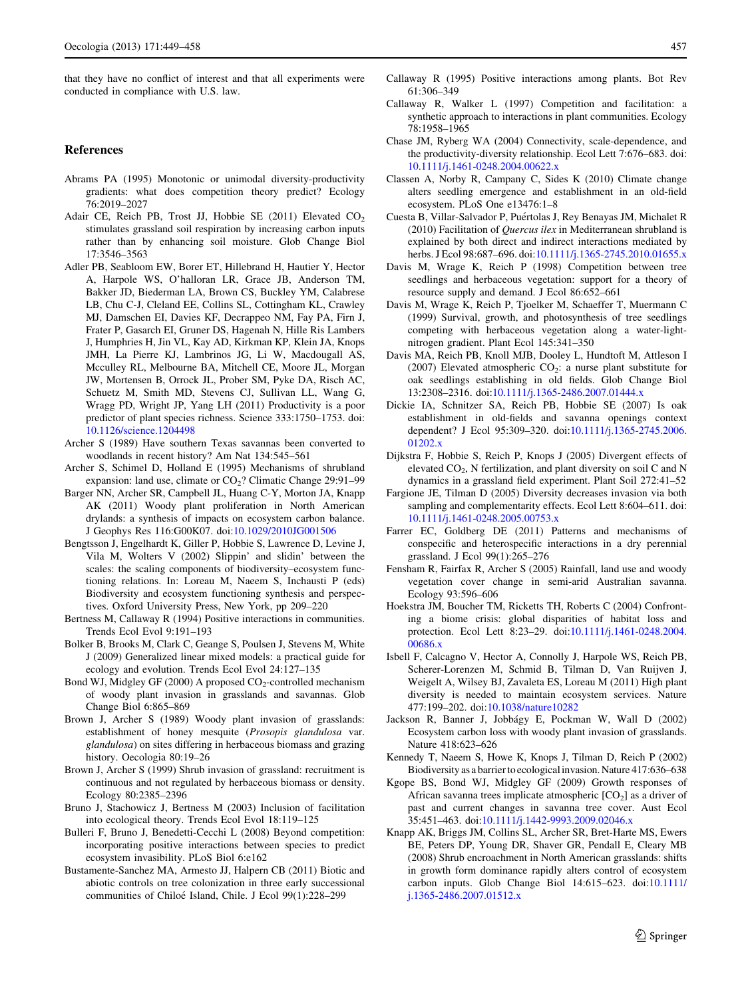<span id="page-8-0"></span>that they have no conflict of interest and that all experiments were conducted in compliance with U.S. law.

## References

- Abrams PA (1995) Monotonic or unimodal diversity-productivity gradients: what does competition theory predict? Ecology 76:2019–2027
- Adair CE, Reich PB, Trost JJ, Hobbie SE (2011) Elevated  $CO<sub>2</sub>$ stimulates grassland soil respiration by increasing carbon inputs rather than by enhancing soil moisture. Glob Change Biol 17:3546–3563
- Adler PB, Seabloom EW, Borer ET, Hillebrand H, Hautier Y, Hector A, Harpole WS, O'halloran LR, Grace JB, Anderson TM, Bakker JD, Biederman LA, Brown CS, Buckley YM, Calabrese LB, Chu C-J, Cleland EE, Collins SL, Cottingham KL, Crawley MJ, Damschen EI, Davies KF, Decrappeo NM, Fay PA, Firn J, Frater P, Gasarch EI, Gruner DS, Hagenah N, Hille Ris Lambers J, Humphries H, Jin VL, Kay AD, Kirkman KP, Klein JA, Knops JMH, La Pierre KJ, Lambrinos JG, Li W, Macdougall AS, Mcculley RL, Melbourne BA, Mitchell CE, Moore JL, Morgan JW, Mortensen B, Orrock JL, Prober SM, Pyke DA, Risch AC, Schuetz M, Smith MD, Stevens CJ, Sullivan LL, Wang G, Wragg PD, Wright JP, Yang LH (2011) Productivity is a poor predictor of plant species richness. Science 333:1750–1753. doi: [10.1126/science.1204498](http://dx.doi.org/10.1126/science.1204498)
- Archer S (1989) Have southern Texas savannas been converted to woodlands in recent history? Am Nat 134:545–561
- Archer S, Schimel D, Holland E (1995) Mechanisms of shrubland expansion: land use, climate or  $CO<sub>2</sub>$ ? Climatic Change 29:91–99
- Barger NN, Archer SR, Campbell JL, Huang C-Y, Morton JA, Knapp AK (2011) Woody plant proliferation in North American drylands: a synthesis of impacts on ecosystem carbon balance. J Geophys Res 116:G00K07. doi:[10.1029/2010JG001506](http://dx.doi.org/10.1029/2010JG001506)
- Bengtsson J, Engelhardt K, Giller P, Hobbie S, Lawrence D, Levine J, Vila M, Wolters V (2002) Slippin' and slidin' between the scales: the scaling components of biodiversity–ecosystem functioning relations. In: Loreau M, Naeem S, Inchausti P (eds) Biodiversity and ecosystem functioning synthesis and perspectives. Oxford University Press, New York, pp 209–220
- Bertness M, Callaway R (1994) Positive interactions in communities. Trends Ecol Evol 9:191–193
- Bolker B, Brooks M, Clark C, Geange S, Poulsen J, Stevens M, White J (2009) Generalized linear mixed models: a practical guide for ecology and evolution. Trends Ecol Evol 24:127–135
- Bond WJ, Midgley GF (2000) A proposed  $CO_2$ -controlled mechanism of woody plant invasion in grasslands and savannas. Glob Change Biol 6:865–869
- Brown J, Archer S (1989) Woody plant invasion of grasslands: establishment of honey mesquite (Prosopis glandulosa var. glandulosa) on sites differing in herbaceous biomass and grazing history. Oecologia 80:19–26
- Brown J, Archer S (1999) Shrub invasion of grassland: recruitment is continuous and not regulated by herbaceous biomass or density. Ecology 80:2385–2396
- Bruno J, Stachowicz J, Bertness M (2003) Inclusion of facilitation into ecological theory. Trends Ecol Evol 18:119–125
- Bulleri F, Bruno J, Benedetti-Cecchi L (2008) Beyond competition: incorporating positive interactions between species to predict ecosystem invasibility. PLoS Biol 6:e162
- Bustamente-Sanchez MA, Armesto JJ, Halpern CB (2011) Biotic and abiotic controls on tree colonization in three early successional communities of Chiloé Island, Chile. J Ecol 99(1):228-299
- Callaway R (1995) Positive interactions among plants. Bot Rev 61:306–349
- Callaway R, Walker L (1997) Competition and facilitation: a synthetic approach to interactions in plant communities. Ecology 78:1958–1965
- Chase JM, Ryberg WA (2004) Connectivity, scale-dependence, and the productivity-diversity relationship. Ecol Lett 7:676–683. doi: [10.1111/j.1461-0248.2004.00622.x](http://dx.doi.org/10.1111/j.1461-0248.2004.00622.x)
- Classen A, Norby R, Campany C, Sides K (2010) Climate change alters seedling emergence and establishment in an old-field ecosystem. PLoS One e13476:1–8
- Cuesta B, Villar-Salvador P, Puértolas J, Rey Benayas JM, Michalet R (2010) Facilitation of Quercus ilex in Mediterranean shrubland is explained by both direct and indirect interactions mediated by herbs. J Ecol 98:687-696. doi[:10.1111/j.1365-2745.2010.01655.x](http://dx.doi.org/10.1111/j.1365-2745.2010.01655.x)
- Davis M, Wrage K, Reich P (1998) Competition between tree seedlings and herbaceous vegetation: support for a theory of resource supply and demand. J Ecol 86:652–661
- Davis M, Wrage K, Reich P, Tjoelker M, Schaeffer T, Muermann C (1999) Survival, growth, and photosynthesis of tree seedlings competing with herbaceous vegetation along a water-lightnitrogen gradient. Plant Ecol 145:341–350
- Davis MA, Reich PB, Knoll MJB, Dooley L, Hundtoft M, Attleson I (2007) Elevated atmospheric  $CO<sub>2</sub>$ : a nurse plant substitute for oak seedlings establishing in old fields. Glob Change Biol 13:2308–2316. doi[:10.1111/j.1365-2486.2007.01444.x](http://dx.doi.org/10.1111/j.1365-2486.2007.01444.x)
- Dickie IA, Schnitzer SA, Reich PB, Hobbie SE (2007) Is oak establishment in old-fields and savanna openings context dependent? J Ecol 95:309–320. doi:[10.1111/j.1365-2745.2006.](http://dx.doi.org/10.1111/j.1365-2745.2006.01202.x) [01202.x](http://dx.doi.org/10.1111/j.1365-2745.2006.01202.x)
- Dijkstra F, Hobbie S, Reich P, Knops J (2005) Divergent effects of elevated  $CO<sub>2</sub>$ , N fertilization, and plant diversity on soil C and N dynamics in a grassland field experiment. Plant Soil 272:41–52
- Fargione JE, Tilman D (2005) Diversity decreases invasion via both sampling and complementarity effects. Ecol Lett 8:604–611. doi: [10.1111/j.1461-0248.2005.00753.x](http://dx.doi.org/10.1111/j.1461-0248.2005.00753.x)
- Farrer EC, Goldberg DE (2011) Patterns and mechanisms of conspecific and heterospecific interactions in a dry perennial grassland. J Ecol 99(1):265–276
- Fensham R, Fairfax R, Archer S (2005) Rainfall, land use and woody vegetation cover change in semi-arid Australian savanna. Ecology 93:596–606
- Hoekstra JM, Boucher TM, Ricketts TH, Roberts C (2004) Confronting a biome crisis: global disparities of habitat loss and protection. Ecol Lett 8:23–29. doi:[10.1111/j.1461-0248.2004.](http://dx.doi.org/10.1111/j.1461-0248.2004.00686.x) [00686.x](http://dx.doi.org/10.1111/j.1461-0248.2004.00686.x)
- Isbell F, Calcagno V, Hector A, Connolly J, Harpole WS, Reich PB, Scherer-Lorenzen M, Schmid B, Tilman D, Van Ruijven J, Weigelt A, Wilsey BJ, Zavaleta ES, Loreau M (2011) High plant diversity is needed to maintain ecosystem services. Nature 477:199–202. doi[:10.1038/nature10282](http://dx.doi.org/10.1038/nature10282)
- Jackson R, Banner J, Jobbágy E, Pockman W, Wall D (2002) Ecosystem carbon loss with woody plant invasion of grasslands. Nature 418:623–626
- Kennedy T, Naeem S, Howe K, Knops J, Tilman D, Reich P (2002) Biodiversity as a barrier to ecological invasion. Nature 417:636–638
- Kgope BS, Bond WJ, Midgley GF (2009) Growth responses of African savanna trees implicate atmospheric  $[CO<sub>2</sub>]$  as a driver of past and current changes in savanna tree cover. Aust Ecol 35:451–463. doi:[10.1111/j.1442-9993.2009.02046.x](http://dx.doi.org/10.1111/j.1442-9993.2009.02046.x)
- Knapp AK, Briggs JM, Collins SL, Archer SR, Bret-Harte MS, Ewers BE, Peters DP, Young DR, Shaver GR, Pendall E, Cleary MB (2008) Shrub encroachment in North American grasslands: shifts in growth form dominance rapidly alters control of ecosystem carbon inputs. Glob Change Biol 14:615–623. doi[:10.1111/](http://dx.doi.org/10.1111/j.1365-2486.2007.01512.x) [j.1365-2486.2007.01512.x](http://dx.doi.org/10.1111/j.1365-2486.2007.01512.x)